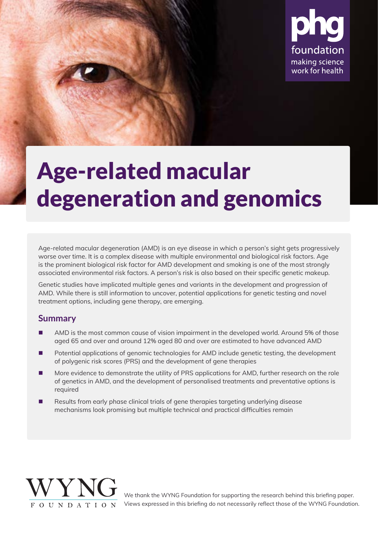

# Age-related macular degeneration and genomics

Age-related macular degeneration (AMD) is an eye disease in which a person's sight gets progressively worse over time. It is a complex disease with multiple environmental and biological risk factors. Age is the prominent biological risk factor for AMD development and smoking is one of the most strongly associated environmental risk factors. A person's risk is also based on their specific genetic makeup.

Genetic studies have implicated multiple genes and variants in the development and progression of AMD. While there is still information to uncover, potential applications for genetic testing and novel treatment options, including gene therapy, are emerging.

### **Summary**

- AMD is the most common cause of vision impairment in the developed world. Around 5% of those aged 65 and over and around 12% aged 80 and over are estimated to have advanced AMD
- Potential applications of genomic technologies for AMD include genetic testing, the development of polygenic risk scores (PRS) and the development of gene therapies
- More evidence to demonstrate the utility of PRS applications for AMD, further research on the role of genetics in AMD, and the development of personalised treatments and preventative options is required
- Results from early phase clinical trials of gene therapies targeting underlying disease mechanisms look promising but multiple technical and practical difficulties remain



We thank the WYNG Foundation for supporting the research behind this briefing paper. Views expressed in this briefing do not necessarily reflect those of the WYNG Foundation.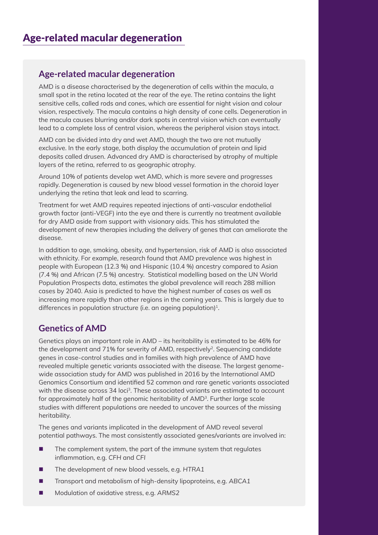### Functional genomics is a field of molecular biology where researchers attempt to  $\mathsf{Age}\text{-} \mathsf{related}\text{-} \mathsf{machine}$  degeneration

AMD is a disease characterised by the degeneration of cells within the macula, a small spot in the retina located at the rear of the eye. The retina contains the light sensitive cells, called rods and cones, which are essential for night vision and colour vision, respectively. The macula contains a high density of cone cells. Degeneration in the macula causes blurring and/or dark spots in central vision which can eventually lead to a complete loss of central vision, whereas the peripheral vision stays intact.

two policy briefings, we explore the potential impact of functional genomics on clinical AMD can be divided into dry and wet AMD, though the two are not mutually layers of the retina, referred to as geographic atrophy. exclusive. In the early stage, both display the accumulation of protein and lipid deposits called drusen. Advanced dry AMD is characterised by atrophy of multiple

Around 10% of patients develop wet AMD, which is more severe and progresses rapidly. Degeneration is caused by new blood vessel formation in the choroid layer High-throughput technologies (e.g. sequencing and mass spectrometry) can be underlying the retina that leak and lead to scarring.

Treatment for wet AMD requires repeated injections of anti-vascular endothelial growth factor (anti-VEGF) into the eye and there is currently no treatment available  $\mu_{\text{m}}$  is the clinical laboratory that can reveal specific functional specific functional specific functional specific functional specific functional specific functional specific functional specific functional specifi development of new therapies including the delivery of genes that can ameliorate the<br>disease for dry AMD aside from support with visionary aids. This has stimulated the disease.

In addition to age, smoking, obesity, and hypertension, risk of AMD is also associated Areas where functional genomics approaches could be useful in the clinic have people with European (12.3 %) and Hispanic (10.4 %) ancestry compared to Asian been identified, particularly for rare disease and cancer to support interpretation (7.4 %) and African (7.5 %) ancestry. Statistical modelling based on the UN World of general anti-anti-anti-process data, estimates the global prevalence will reach 288 million. cases by 2040. Asia is predicted to have the highest number of cases as well as increasing more rapidly than other regions in the coming years. This is largely due to differences in population structure (i.e. an ageing population)<sup>1</sup>. with ethnicity. For example, research found that AMD prevalence was highest in

### **Understanding function through multion through multiple states of AMD**

Genetics plays an important role in AMD – its heritability is estimated to be 46% for the development and 71% for severity of AMD, respectively<sup>2</sup>. Sequencing candidate genes in case-control studies and in families with high prevalence of AMD have revealed multiple genetic variants associated with the disease. The largest genomewide association study for AMD was published in 2016 by the International AMD Genomics Consortium and identified 52 common and rare genetic variants associated with the disease across 34 loci<sup>3</sup>. These associated variants are estimated to account for approximately half of the genomic heritability of AMD<sup>3</sup>. Further large scale studies with different populations are needed to uncover the sources of the missing  $\mathcal{L}$  different technologies can give us information about different processes in specific heritability.

The genes and variants implicated in the development of AMD reveal several potential pathways. The most consistently associated genes/variants are involved in:

- inflammation, e.g. *CFH* and *CFI* ■ The complement system, the part of the immune system that regulates
- The development of new blood vessels, e.g. *HTRA1*
- Transport and metabolism of high-density lipoproteins, e.g. *ABCA1*
- Modulation of oxidative stress, e.g. ARMS2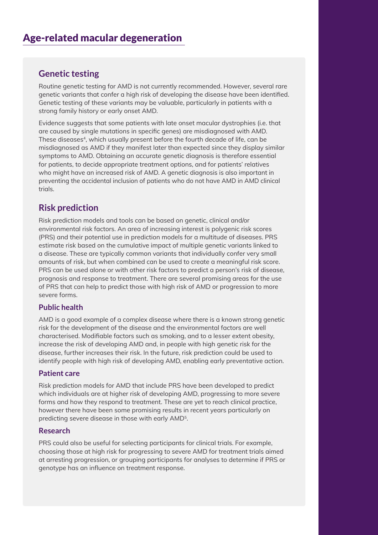### **Genetic testing**

Routine genetic testing for AMD is not currently recommended. However, several rare genetic variants that comer a high risk or acveloping the also ase have been facility. genetic variants that confer a high risk of developing the disease have been identified. strong family history or early onset AMD.

**Impact on personalised medicine** Evidence suggests that some patients with late onset macular dystrophies (i.e. that are caused by single mutations in specific genes) are misdiagnosed with AMD. These diseases<sup>4</sup>, which usually present before the fourth decade of life, can be misdiagnosed as AMD if they manifest later than expected since they display similar symptoms to AMD. Obtaining an accurate genetic diagnosis is therefore essential for patients, to decide appropriate treatment options, and for patients' relatives who might have an increased risk of AMD. A genetic diagnosis is also important in preventing the accidental inclusion of patients who do not have AMD in AMD clinical clinical impacts for patients - in the medium term, those with rare disease and cancer with rare disease and c trials.

# **Risk prediction**

WGS prediction models and tools can be based on genetic, emmediantly in environmental risk factors. An area of increasing interest is polygenic risk scores<br>"BBC" variants that may play a role in disease. Some of these variants will be of unknown (PRS) and their potential use in prediction models for a multitude of diseases. PRS estimate fisk based off the edifidiative impact of matripic genetic variants in ked to a disease. These are typically common variants that individually confer very small caused but these are typically community direction in specific very since amounts of risk, but when combined can be used to create a meaningful risk score.<br>PPC on transcription). Results from these tests can form the basis for a diagnosis, provide PRS can be used alone or with other risk factors to predict a person's risk of disease, prognosis and response to treatment. There are several promising areas for the use of the function of the function of the function  $\sim$ of PRS that can help to predict those with high risk of AMD or progression to more<br>ົ້ Risk prediction models and tools can be based on genetic, clinical and/or estimate risk based on the cumulative impact of multiple genetic variants linked to severe forms.

#### However, this process requires some process requires some prior knowledge suggesting that the variant that the variant that the variant that the variant that the variant that the variant that the variant that the variant may be pathogenic. As the role of some genes and the vast majority of the vast majority of the vast majority of **Public health**

AMD is a good example of a complex disease where there is a known strong genetic risk for the development of the disease and the environmental factors are well characterised. Modifiable factors such as smoking, and to a lesser extent obesity, increase the risk of developing AMD and, in people with high genetic risk for the<br>... disease, further increases their risk. In the future, risk prediction could be used to identify people with high risk of developing AMD, enabling early preventative action.

#### $\Gamma$ changes to biological processes might be revealed that are important for the revealed that are important for the set of the set of the set of the set of the set of the set of the set of the set of the set of the set o  $\alpha$  is the case in question but are not indicated or obvious by looking at the genomenon  $\alpha$ **Patient care**

Risk prediction models for AMD that include PRS have been developed to predict which individuals are at higher risk or developing AMD, progressing to more severe<br>forms and how they respond to treatment. These are yet to reach clinical practice, scientists do not need to have a community to have a considerable which genetic which genetic which genetic ge<br>The consideration genetic which genetic which genetic which genetic which genetic which genetic which genetic w however there have been some promising results in recent years particularly on<br>http://www.industrial.com/www.industrial.com/www.industrial.com/www.industrial.com which individuals are at higher risk of developing AMD, progressing to more severe predicting severe disease in those with early AMD5.

### **Rare disease Research**

PRS could also be useful for selecting participants for clinical trials. For example, choosing those at high risk for progressing to severe AMD for treatment trials aimed at arresting progression, or grouping participants for analyses to determine if PRS or genotype has an influence on treatment response.